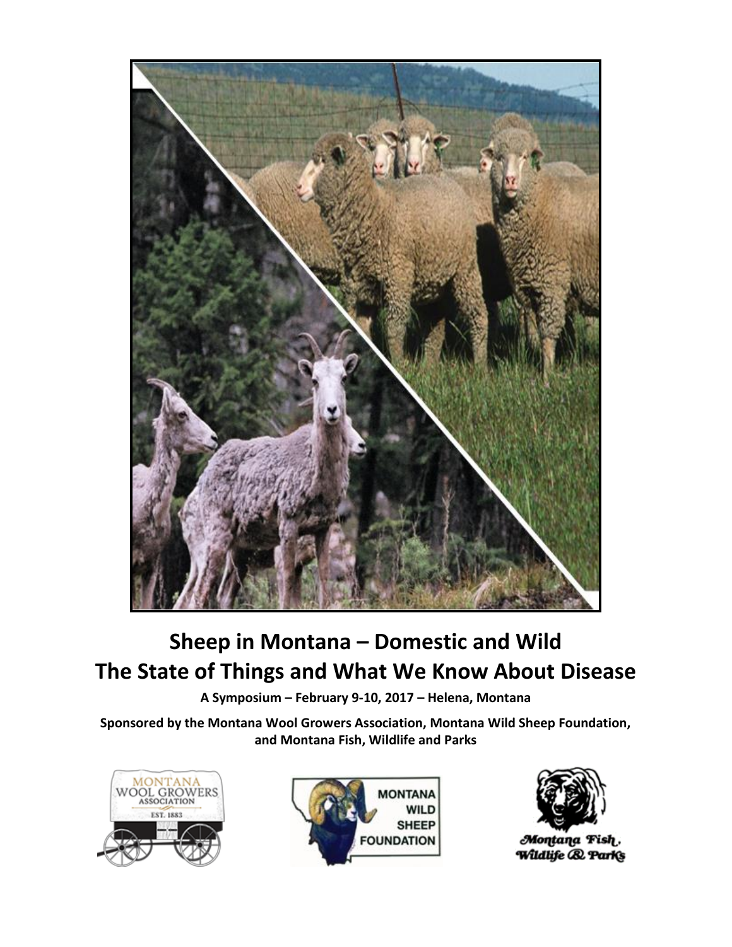

# **Sheep in Montana – Domestic and Wild The State of Things and What We Know About Disease**

**A Symposium – February 9-10, 2017 – Helena, Montana**

**Sponsored by the Montana Wool Growers Association, Montana Wild Sheep Foundation, and Montana Fish, Wildlife and Parks**







Montana Fish. Wildlife **& Parks**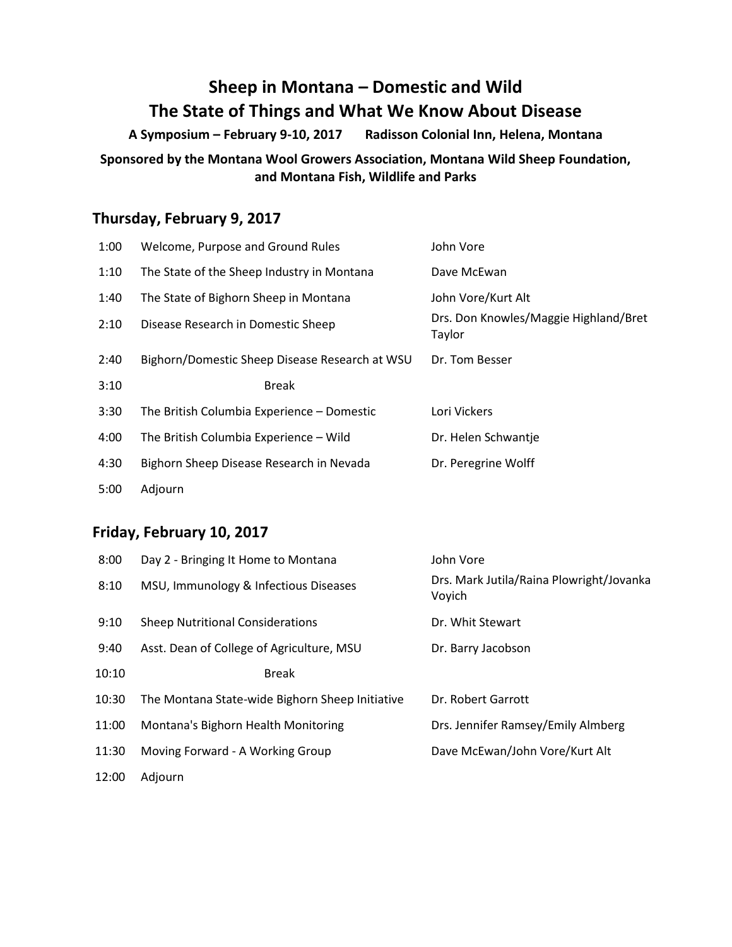# **Sheep in Montana – Domestic and Wild The State of Things and What We Know About Disease**

**A Symposium – February 9-10, 2017 Radisson Colonial Inn, Helena, Montana**

### **Sponsored by the Montana Wool Growers Association, Montana Wild Sheep Foundation, and Montana Fish, Wildlife and Parks**

# **Thursday, February 9, 2017**

| 1:00 | Welcome, Purpose and Ground Rules              | John Vore                                       |
|------|------------------------------------------------|-------------------------------------------------|
| 1:10 | The State of the Sheep Industry in Montana     | Dave McEwan                                     |
| 1:40 | The State of Bighorn Sheep in Montana          | John Vore/Kurt Alt                              |
| 2:10 | Disease Research in Domestic Sheep             | Drs. Don Knowles/Maggie Highland/Bret<br>Taylor |
| 2:40 | Bighorn/Domestic Sheep Disease Research at WSU | Dr. Tom Besser                                  |
| 3:10 | <b>Break</b>                                   |                                                 |
| 3:30 | The British Columbia Experience - Domestic     | Lori Vickers                                    |
| 4:00 | The British Columbia Experience - Wild         | Dr. Helen Schwantje                             |
| 4:30 | Bighorn Sheep Disease Research in Nevada       | Dr. Peregrine Wolff                             |
| 5:00 | Adjourn                                        |                                                 |

### **Friday, February 10, 2017**

| 8:00  | Day 2 - Bringing It Home to Montana             | John Vore                                          |
|-------|-------------------------------------------------|----------------------------------------------------|
| 8:10  | MSU, Immunology & Infectious Diseases           | Drs. Mark Jutila/Raina Plowright/Jovanka<br>Voyich |
| 9:10  | <b>Sheep Nutritional Considerations</b>         | Dr. Whit Stewart                                   |
| 9:40  | Asst. Dean of College of Agriculture, MSU       | Dr. Barry Jacobson                                 |
| 10:10 | <b>Break</b>                                    |                                                    |
| 10:30 | The Montana State-wide Bighorn Sheep Initiative | Dr. Robert Garrott                                 |
| 11:00 | Montana's Bighorn Health Monitoring             | Drs. Jennifer Ramsey/Emily Almberg                 |
| 11:30 | Moving Forward - A Working Group                | Dave McEwan/John Vore/Kurt Alt                     |
| 12:00 | Adjourn                                         |                                                    |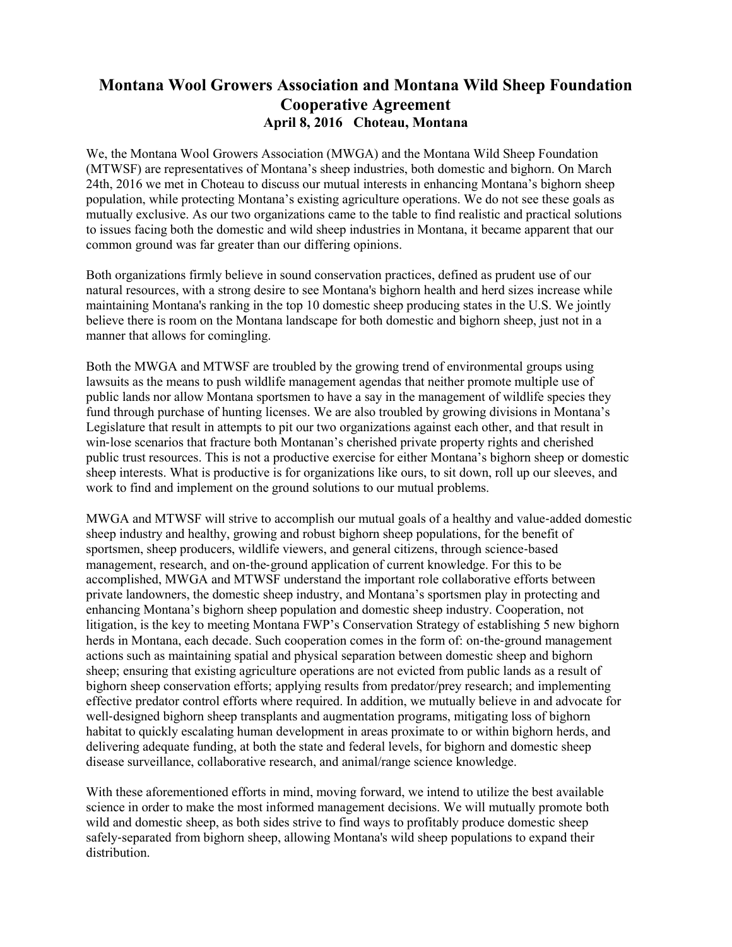## **Montana Wool Growers Association and Montana Wild Sheep Foundation Cooperative Agreement April 8, 2016 Choteau, Montana**

We, the Montana Wool Growers Association (MWGA) and the Montana Wild Sheep Foundation (MTWSF) are representatives of Montana's sheep industries, both domestic and bighorn. On March 24th, 2016 we met in Choteau to discuss our mutual interests in enhancing Montana's bighorn sheep population, while protecting Montana's existing agriculture operations. We do not see these goals as mutually exclusive. As our two organizations came to the table to find realistic and practical solutions to issues facing both the domestic and wild sheep industries in Montana, it became apparent that our common ground was far greater than our differing opinions.

Both organizations firmly believe in sound conservation practices, defined as prudent use of our natural resources, with a strong desire to see Montana's bighorn health and herd sizes increase while maintaining Montana's ranking in the top 10 domestic sheep producing states in the U.S. We jointly believe there is room on the Montana landscape for both domestic and bighorn sheep, just not in a manner that allows for comingling.

Both the MWGA and MTWSF are troubled by the growing trend of environmental groups using lawsuits as the means to push wildlife management agendas that neither promote multiple use of public lands nor allow Montana sportsmen to have a say in the management of wildlife species they fund through purchase of hunting licenses. We are also troubled by growing divisions in Montana's Legislature that result in attempts to pit our two organizations against each other, and that result in win-lose scenarios that fracture both Montanan's cherished private property rights and cherished public trust resources. This is not a productive exercise for either Montana's bighorn sheep or domestic sheep interests. What is productive is for organizations like ours, to sit down, roll up our sleeves, and work to find and implement on the ground solutions to our mutual problems.

MWGA and MTWSF will strive to accomplish our mutual goals of a healthy and value‐added domestic sheep industry and healthy, growing and robust bighorn sheep populations, for the benefit of sportsmen, sheep producers, wildlife viewers, and general citizens, through science-based management, research, and on-the-ground application of current knowledge. For this to be accomplished, MWGA and MTWSF understand the important role collaborative efforts between private landowners, the domestic sheep industry, and Montana's sportsmen play in protecting and enhancing Montana's bighorn sheep population and domestic sheep industry. Cooperation, not litigation, is the key to meeting Montana FWP's Conservation Strategy of establishing 5 new bighorn herds in Montana, each decade. Such cooperation comes in the form of: on-the-ground management actions such as maintaining spatial and physical separation between domestic sheep and bighorn sheep; ensuring that existing agriculture operations are not evicted from public lands as a result of bighorn sheep conservation efforts; applying results from predator/prey research; and implementing effective predator control efforts where required. In addition, we mutually believe in and advocate for well-designed bighorn sheep transplants and augmentation programs, mitigating loss of bighorn habitat to quickly escalating human development in areas proximate to or within bighorn herds, and delivering adequate funding, at both the state and federal levels, for bighorn and domestic sheep disease surveillance, collaborative research, and animal/range science knowledge.

With these aforementioned efforts in mind, moving forward, we intend to utilize the best available science in order to make the most informed management decisions. We will mutually promote both wild and domestic sheep, as both sides strive to find ways to profitably produce domestic sheep safely‐separated from bighorn sheep, allowing Montana's wild sheep populations to expand their distribution.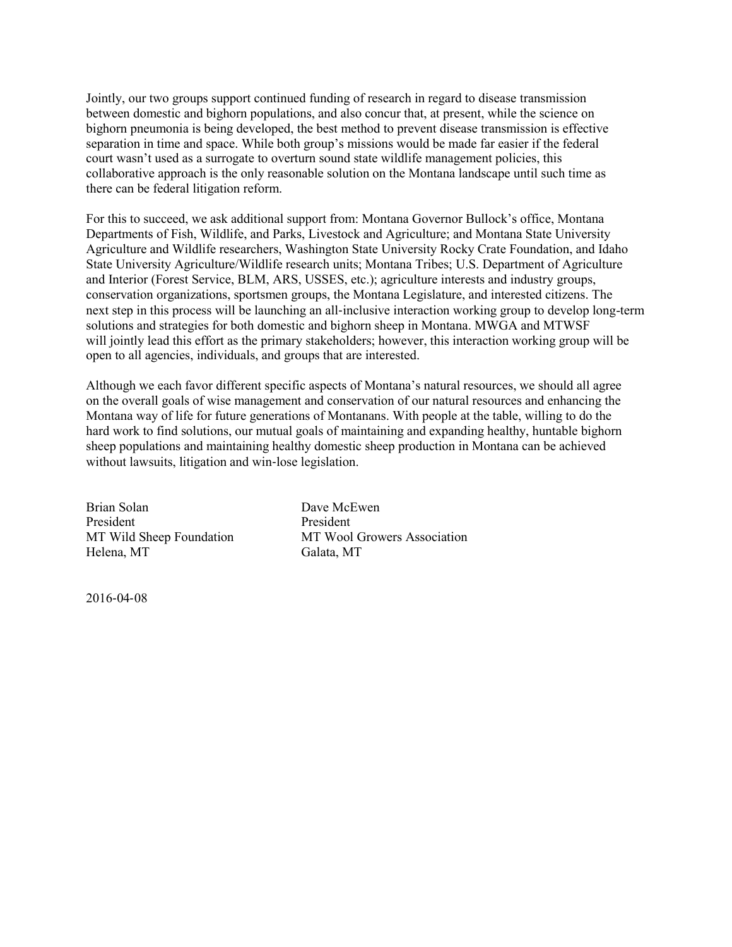Jointly, our two groups support continued funding of research in regard to disease transmission between domestic and bighorn populations, and also concur that, at present, while the science on bighorn pneumonia is being developed, the best method to prevent disease transmission is effective separation in time and space. While both group's missions would be made far easier if the federal court wasn't used as a surrogate to overturn sound state wildlife management policies, this collaborative approach is the only reasonable solution on the Montana landscape until such time as there can be federal litigation reform.

For this to succeed, we ask additional support from: Montana Governor Bullock's office, Montana Departments of Fish, Wildlife, and Parks, Livestock and Agriculture; and Montana State University Agriculture and Wildlife researchers, Washington State University Rocky Crate Foundation, and Idaho State University Agriculture/Wildlife research units; Montana Tribes; U.S. Department of Agriculture and Interior (Forest Service, BLM, ARS, USSES, etc.); agriculture interests and industry groups, conservation organizations, sportsmen groups, the Montana Legislature, and interested citizens. The next step in this process will be launching an all‐inclusive interaction working group to develop long-term solutions and strategies for both domestic and bighorn sheep in Montana. MWGA and MTWSF will jointly lead this effort as the primary stakeholders; however, this interaction working group will be open to all agencies, individuals, and groups that are interested.

Although we each favor different specific aspects of Montana's natural resources, we should all agree on the overall goals of wise management and conservation of our natural resources and enhancing the Montana way of life for future generations of Montanans. With people at the table, willing to do the hard work to find solutions, our mutual goals of maintaining and expanding healthy, huntable bighorn sheep populations and maintaining healthy domestic sheep production in Montana can be achieved without lawsuits, litigation and win-lose legislation.

Brian Solan Dave McEwen President President Helena, MT Galata, MT

MT Wild Sheep Foundation MT Wool Growers Association

2016‐04‐08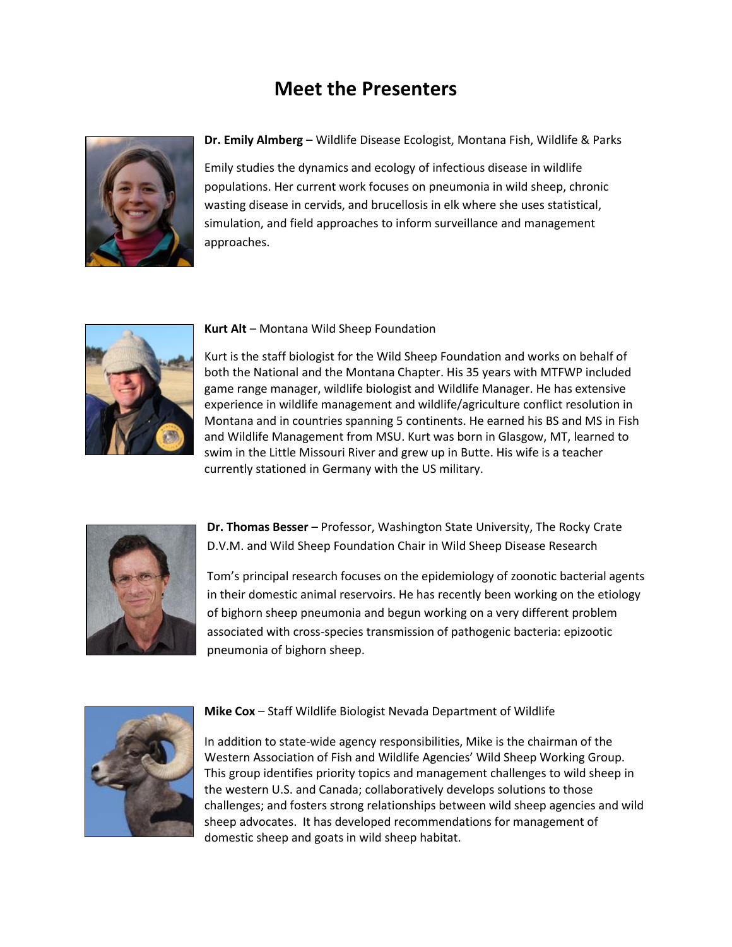# **Meet the Presenters**



**Dr. Emily Almberg** – Wildlife Disease Ecologist, Montana Fish, Wildlife & Parks

Emily studies the dynamics and ecology of infectious disease in wildlife populations. Her current work focuses on pneumonia in wild sheep, chronic wasting disease in cervids, and brucellosis in elk where she uses statistical, simulation, and field approaches to inform surveillance and management approaches.



#### **Kurt Alt** – Montana Wild Sheep Foundation

Kurt is the staff biologist for the Wild Sheep Foundation and works on behalf of both the National and the Montana Chapter. His 35 years with MTFWP included game range manager, wildlife biologist and Wildlife Manager. He has extensive experience in wildlife management and wildlife/agriculture conflict resolution in Montana and in countries spanning 5 continents. He earned his BS and MS in Fish and Wildlife Management from MSU. Kurt was born in Glasgow, MT, learned to swim in the Little Missouri River and grew up in Butte. His wife is a teacher currently stationed in Germany with the US military.



**Dr. Thomas Besser** – Professor, Washington State University, The Rocky Crate D.V.M. and Wild Sheep Foundation Chair in Wild Sheep Disease Research

Tom's principal research focuses on the epidemiology of zoonotic bacterial agents in their domestic animal reservoirs. He has recently been working on the etiology of bighorn sheep pneumonia and begun working on a very different problem associated with cross-species transmission of pathogenic bacteria: epizootic pneumonia of bighorn sheep.



#### **Mike Cox** – Staff Wildlife Biologist Nevada Department of Wildlife

In addition to state-wide agency responsibilities, Mike is the chairman of the Western Association of Fish and Wildlife Agencies' Wild Sheep Working Group. This group identifies priority topics and management challenges to wild sheep in the western U.S. and Canada; collaboratively develops solutions to those challenges; and fosters strong relationships between wild sheep agencies and wild sheep advocates. It has developed recommendations for management of domestic sheep and goats in wild sheep habitat.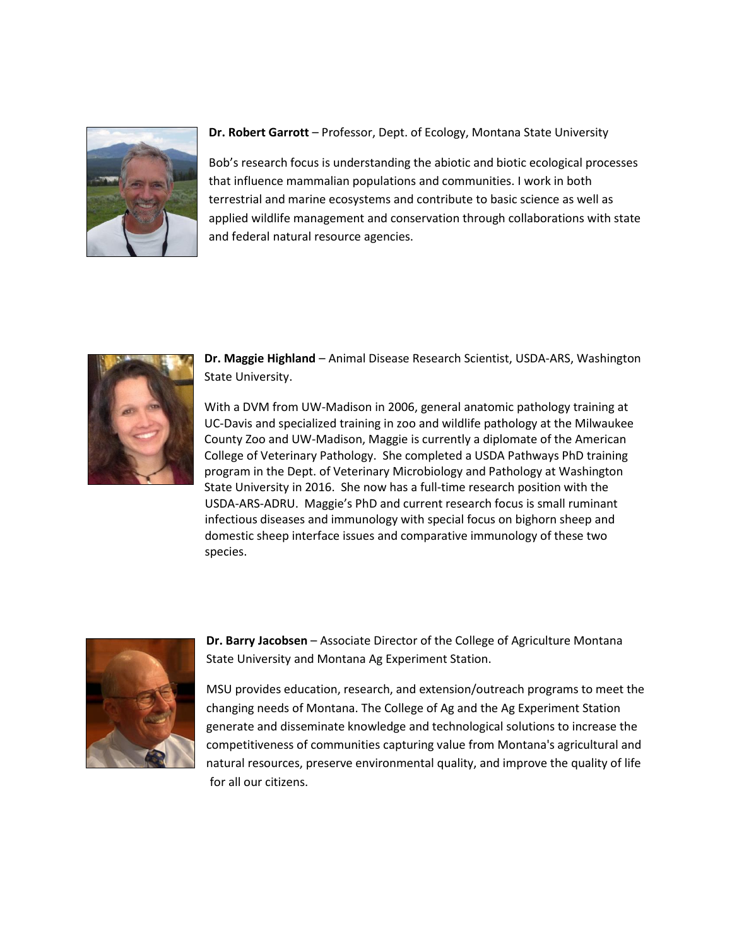

#### **Dr. Robert Garrott** – Professor, Dept. of Ecology, Montana State University

Bob's research focus is understanding the abiotic and biotic ecological processes that influence mammalian populations and communities. I work in both terrestrial and marine ecosystems and contribute to basic science as well as applied wildlife management and conservation through collaborations with state and federal natural resource agencies.



**Dr. Maggie Highland** – Animal Disease Research Scientist, USDA-ARS, Washington State University.

With a DVM from UW-Madison in 2006, general anatomic pathology training at UC-Davis and specialized training in zoo and wildlife pathology at the Milwaukee County Zoo and UW-Madison, Maggie is currently a diplomate of the American College of Veterinary Pathology. She completed a USDA Pathways PhD training program in the Dept. of Veterinary Microbiology and Pathology at Washington State University in 2016. She now has a full-time research position with the USDA-ARS-ADRU. Maggie's PhD and current research focus is small ruminant infectious diseases and immunology with special focus on bighorn sheep and domestic sheep interface issues and comparative immunology of these two species.



**Dr. Barry Jacobsen** – Associate Director of the College of Agriculture Montana State University and Montana Ag Experiment Station.

MSU provides education, research, and extension/outreach programs to meet the changing needs of Montana. The College of Ag and the Ag Experiment Station generate and disseminate knowledge and technological solutions to increase the competitiveness of communities capturing value from Montana's agricultural and natural resources, preserve environmental quality, and improve the quality of life for all our citizens.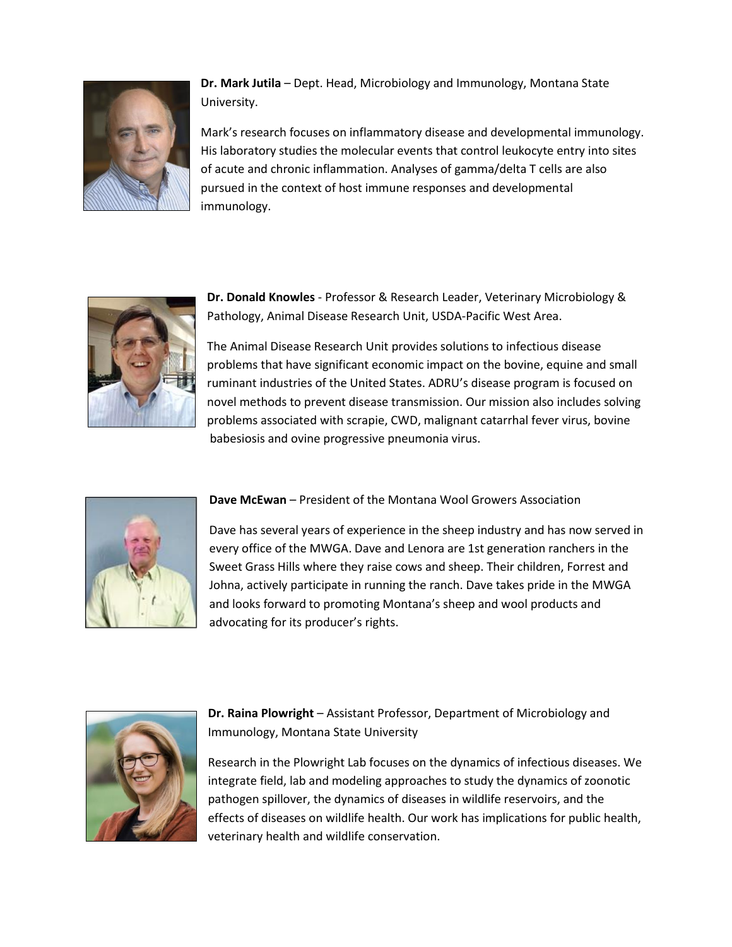

**Dr. Mark Jutila** – Dept. Head, Microbiology and Immunology, Montana State University.

Mark's research focuses on inflammatory disease and developmental immunology. His laboratory studies the molecular events that control leukocyte entry into sites of acute and chronic inflammation. Analyses of gamma/delta T cells are also pursued in the context of host immune responses and developmental immunology.



**Dr. Donald Knowles** - Professor & Research Leader, Veterinary Microbiology & Pathology, Animal Disease Research Unit, USDA-Pacific West Area.

The Animal Disease Research Unit provides solutions to infectious disease problems that have significant economic impact on the bovine, equine and small ruminant industries of the United States. ADRU's disease program is focused on novel methods to prevent disease transmission. Our mission also includes solving problems associated with scrapie, CWD, malignant catarrhal fever virus, bovine babesiosis and ovine progressive pneumonia virus.



**Dave McEwan** – President of the Montana Wool Growers Association

Dave has several years of experience in the sheep industry and has now served in every office of the MWGA. Dave and Lenora are 1st generation ranchers in the Sweet Grass Hills where they raise cows and sheep. Their children, Forrest and Johna, actively participate in running the ranch. Dave takes pride in the MWGA and looks forward to promoting Montana's sheep and wool products and advocating for its producer's rights.



**Dr. Raina Plowright** – Assistant Professor, Department of Microbiology and Immunology, Montana State University

Research in the Plowright Lab focuses on the dynamics of infectious diseases. We integrate field, lab and modeling approaches to study the dynamics of zoonotic pathogen spillover, the dynamics of diseases in wildlife reservoirs, and the effects of diseases on wildlife health. Our work has implications for public health, veterinary health and wildlife conservation.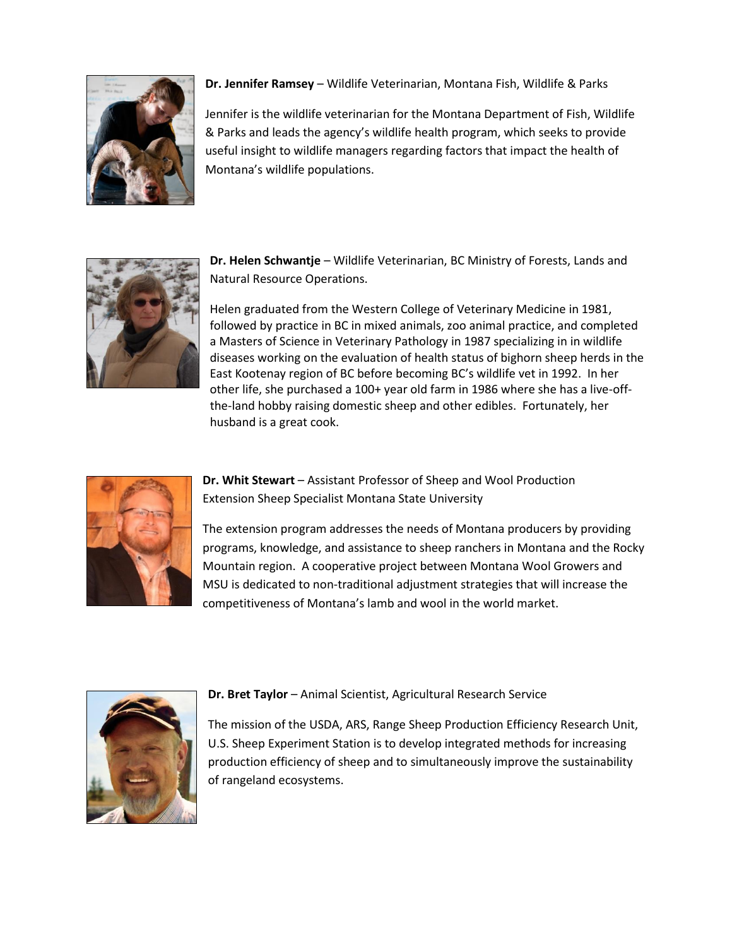

**Dr. Jennifer Ramsey** – Wildlife Veterinarian, Montana Fish, Wildlife & Parks

Jennifer is the wildlife veterinarian for the Montana Department of Fish, Wildlife & Parks and leads the agency's wildlife health program, which seeks to provide useful insight to wildlife managers regarding factors that impact the health of Montana's wildlife populations.



**Dr. Helen Schwantje** – Wildlife Veterinarian, BC Ministry of Forests, Lands and Natural Resource Operations.

Helen graduated from the Western College of Veterinary Medicine in 1981, followed by practice in BC in mixed animals, zoo animal practice, and completed a Masters of Science in Veterinary Pathology in 1987 specializing in in wildlife diseases working on the evaluation of health status of bighorn sheep herds in the East Kootenay region of BC before becoming BC's wildlife vet in 1992. In her other life, she purchased a 100+ year old farm in 1986 where she has a live-offthe-land hobby raising domestic sheep and other edibles. Fortunately, her husband is a great cook.



**Dr. Whit Stewart** – Assistant Professor of Sheep and Wool Production Extension Sheep Specialist Montana State University

The extension program addresses the needs of Montana producers by providing programs, knowledge, and assistance to sheep ranchers in Montana and the Rocky Mountain region. A cooperative project between Montana Wool Growers and MSU is dedicated to non-traditional adjustment strategies that will increase the competitiveness of Montana's lamb and wool in the world market.



#### **Dr. Bret Taylor** – Animal Scientist, Agricultural Research Service

The mission of the USDA, ARS, Range Sheep Production Efficiency Research Unit, U.S. Sheep Experiment Station is to develop integrated methods for increasing production efficiency of sheep and to simultaneously improve the sustainability of rangeland ecosystems.